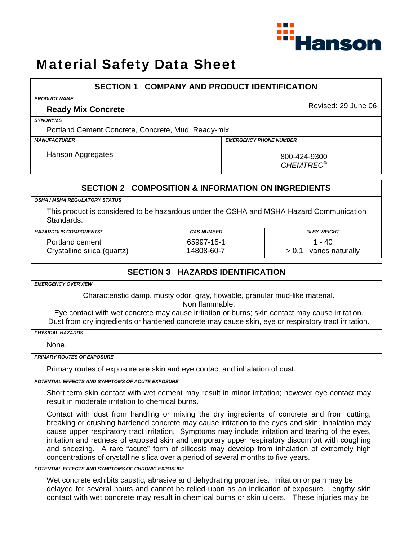

# Material Safety Data Sheet

| <b>SECTION 1 COMPANY AND PRODUCT IDENTIFICATION</b>                                                                                                                                                                                                                                                                                                                                                                                                                                                                                                                                             |                                         |                                                               |                         |  |
|-------------------------------------------------------------------------------------------------------------------------------------------------------------------------------------------------------------------------------------------------------------------------------------------------------------------------------------------------------------------------------------------------------------------------------------------------------------------------------------------------------------------------------------------------------------------------------------------------|-----------------------------------------|---------------------------------------------------------------|-------------------------|--|
| <b>PRODUCT NAME</b>                                                                                                                                                                                                                                                                                                                                                                                                                                                                                                                                                                             |                                         |                                                               |                         |  |
| <b>Ready Mix Concrete</b>                                                                                                                                                                                                                                                                                                                                                                                                                                                                                                                                                                       |                                         |                                                               | Revised: 29 June 06     |  |
| <b>SYNONYMS</b>                                                                                                                                                                                                                                                                                                                                                                                                                                                                                                                                                                                 |                                         |                                                               |                         |  |
| Portland Cement Concrete, Concrete, Mud, Ready-mix                                                                                                                                                                                                                                                                                                                                                                                                                                                                                                                                              |                                         |                                                               |                         |  |
| <b>MANUFACTURER</b>                                                                                                                                                                                                                                                                                                                                                                                                                                                                                                                                                                             |                                         | <b>EMERGENCY PHONE NUMBER</b>                                 |                         |  |
| Hanson Aggregates                                                                                                                                                                                                                                                                                                                                                                                                                                                                                                                                                                               |                                         | 800-424-9300                                                  |                         |  |
|                                                                                                                                                                                                                                                                                                                                                                                                                                                                                                                                                                                                 |                                         | <b>CHEMTREC®</b>                                              |                         |  |
|                                                                                                                                                                                                                                                                                                                                                                                                                                                                                                                                                                                                 |                                         | <b>SECTION 2 COMPOSITION &amp; INFORMATION ON INGREDIENTS</b> |                         |  |
| <b>OSHA / MSHA REGULATORY STATUS</b>                                                                                                                                                                                                                                                                                                                                                                                                                                                                                                                                                            |                                         |                                                               |                         |  |
| This product is considered to be hazardous under the OSHA and MSHA Hazard Communication<br>Standards.                                                                                                                                                                                                                                                                                                                                                                                                                                                                                           |                                         |                                                               |                         |  |
| <b>HAZARDOUS COMPONENTS*</b>                                                                                                                                                                                                                                                                                                                                                                                                                                                                                                                                                                    | <b>CAS NUMBER</b>                       |                                                               | % BY WEIGHT             |  |
| Portland cement                                                                                                                                                                                                                                                                                                                                                                                                                                                                                                                                                                                 | 65997-15-1                              |                                                               | $1 - 40$                |  |
| Crystalline silica (quartz)                                                                                                                                                                                                                                                                                                                                                                                                                                                                                                                                                                     | 14808-60-7                              |                                                               | > 0.1, varies naturally |  |
|                                                                                                                                                                                                                                                                                                                                                                                                                                                                                                                                                                                                 | <b>SECTION 3 HAZARDS IDENTIFICATION</b> |                                                               |                         |  |
| <b>EMERGENCY OVERVIEW</b>                                                                                                                                                                                                                                                                                                                                                                                                                                                                                                                                                                       |                                         |                                                               |                         |  |
| Characteristic damp, musty odor; gray, flowable, granular mud-like material.<br>Non flammable.<br>Eye contact with wet concrete may cause irritation or burns; skin contact may cause irritation.                                                                                                                                                                                                                                                                                                                                                                                               |                                         |                                                               |                         |  |
| Dust from dry ingredients or hardened concrete may cause skin, eye or respiratory tract irritation.                                                                                                                                                                                                                                                                                                                                                                                                                                                                                             |                                         |                                                               |                         |  |
| <b>PHYSICAL HAZARDS</b>                                                                                                                                                                                                                                                                                                                                                                                                                                                                                                                                                                         |                                         |                                                               |                         |  |
| None.                                                                                                                                                                                                                                                                                                                                                                                                                                                                                                                                                                                           |                                         |                                                               |                         |  |
| <b>PRIMARY ROUTES OF EXPOSURE</b>                                                                                                                                                                                                                                                                                                                                                                                                                                                                                                                                                               |                                         |                                                               |                         |  |
| Primary routes of exposure are skin and eye contact and inhalation of dust.                                                                                                                                                                                                                                                                                                                                                                                                                                                                                                                     |                                         |                                                               |                         |  |
| POTENTIAL EFFECTS AND SYMPTOMS OF ACUTE EXPOSURE                                                                                                                                                                                                                                                                                                                                                                                                                                                                                                                                                |                                         |                                                               |                         |  |
| Short term skin contact with wet cement may result in minor irritation; however eye contact may<br>result in moderate irritation to chemical burns.                                                                                                                                                                                                                                                                                                                                                                                                                                             |                                         |                                                               |                         |  |
| Contact with dust from handling or mixing the dry ingredients of concrete and from cutting,<br>breaking or crushing hardened concrete may cause irritation to the eyes and skin; inhalation may<br>cause upper respiratory tract irritation. Symptoms may include irritation and tearing of the eyes,<br>irritation and redness of exposed skin and temporary upper respiratory discomfort with coughing<br>and sneezing. A rare "acute" form of silicosis may develop from inhalation of extremely high<br>concentrations of crystalline silica over a period of several months to five years. |                                         |                                                               |                         |  |
| POTENTIAL EFFECTS AND SYMPTOMS OF CHRONIC EXPOSURE                                                                                                                                                                                                                                                                                                                                                                                                                                                                                                                                              |                                         |                                                               |                         |  |
| Wet concrete exhibits caustic, abrasive and dehydrating properties. Irritation or pain may be<br>delayed for several hours and cannot be relied upon as an indication of exposure. Lengthy skin<br>contact with wet concrete may result in chemical burns or skin ulcers. These injuries may be                                                                                                                                                                                                                                                                                                 |                                         |                                                               |                         |  |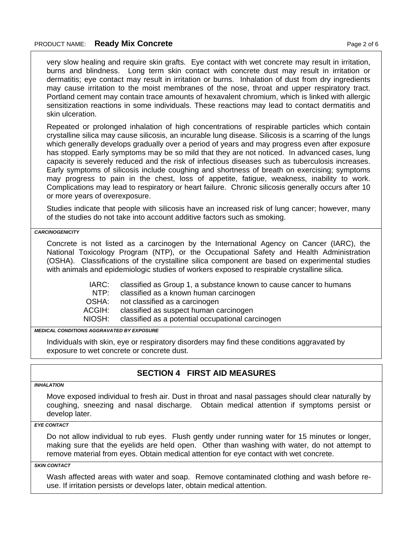very slow healing and require skin grafts. Eye contact with wet concrete may result in irritation, burns and blindness. Long term skin contact with concrete dust may result in irritation or dermatitis; eye contact may result in irritation or burns. Inhalation of dust from dry ingredients may cause irritation to the moist membranes of the nose, throat and upper respiratory tract. Portland cement may contain trace amounts of hexavalent chromium, which is linked with allergic sensitization reactions in some individuals. These reactions may lead to contact dermatitis and skin ulceration.

Repeated or prolonged inhalation of high concentrations of respirable particles which contain crystalline silica may cause silicosis, an incurable lung disease. Silicosis is a scarring of the lungs which generally develops gradually over a period of years and may progress even after exposure has stopped. Early symptoms may be so mild that they are not noticed. In advanced cases, lung capacity is severely reduced and the risk of infectious diseases such as tuberculosis increases. Early symptoms of silicosis include coughing and shortness of breath on exercising; symptoms may progress to pain in the chest, loss of appetite, fatigue, weakness, inability to work. Complications may lead to respiratory or heart failure. Chronic silicosis generally occurs after 10 or more years of overexposure.

Studies indicate that people with silicosis have an increased risk of lung cancer; however, many of the studies do not take into account additive factors such as smoking.

*CARCINOGENICITY* 

Concrete is not listed as a carcinogen by the International Agency on Cancer (IARC), the National Toxicology Program (NTP), or the Occupational Safety and Health Administration (OSHA). Classifications of the crystalline silica component are based on experimental studies with animals and epidemiologic studies of workers exposed to respirable crystalline silica.

> IARC: classified as Group 1, a substance known to cause cancer to humans

NTP: classified as a known human carcinogen

OSHA: not classified as a carcinogen

ACGIH: classified as suspect human carcinogen

NIOSH: classified as a potential occupational carcinogen

*MEDICAL CONDITIONS AGGRAVATED BY EXPOSURE*

Individuals with skin, eye or respiratory disorders may find these conditions aggravated by exposure to wet concrete or concrete dust.

### **SECTION 4 FIRST AID MEASURES**

#### *INHALATION*

Move exposed individual to fresh air. Dust in throat and nasal passages should clear naturally by coughing, sneezing and nasal discharge. Obtain medical attention if symptoms persist or develop later.

#### *EYE CONTACT*

Do not allow individual to rub eyes. Flush gently under running water for 15 minutes or longer, making sure that the eyelids are held open. Other than washing with water, do not attempt to remove material from eyes. Obtain medical attention for eye contact with wet concrete.

*SKIN CONTACT* 

Wash affected areas with water and soap. Remove contaminated clothing and wash before reuse. If irritation persists or develops later, obtain medical attention.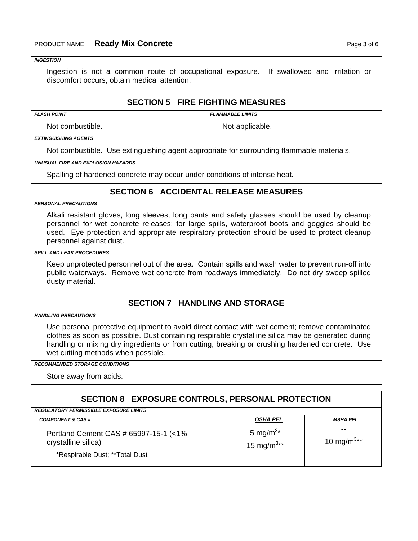#### *INGESTION*

Ingestion is not a common route of occupational exposure. If swallowed and irritation or discomfort occurs, obtain medical attention.

#### **SECTION 5 FIRE FIGHTING MEASURES**

*FLASH POINT FLAMMABLE LIMITS* 

Not combustible. Not applicable.

*EXTINGUISHING AGENTS* 

Not combustible. Use extinguishing agent appropriate for surrounding flammable materials.

*UNUSUAL FIRE AND EXPLOSION HAZARDS* 

Spalling of hardened concrete may occur under conditions of intense heat.

### **SECTION 6 ACCIDENTAL RELEASE MEASURES**

*PERSONAL PRECAUTIONS* 

Alkali resistant gloves, long sleeves, long pants and safety glasses should be used by cleanup personnel for wet concrete releases; for large spills, waterproof boots and goggles should be used. Eye protection and appropriate respiratory protection should be used to protect cleanup personnel against dust.

#### *SPILL AND LEAK PROCEDURES*

Keep unprotected personnel out of the area. Contain spills and wash water to prevent run-off into public waterways. Remove wet concrete from roadways immediately. Do not dry sweep spilled dusty material.

### **SECTION 7 HANDLING AND STORAGE**

*HANDLING PRECAUTIONS* 

Use personal protective equipment to avoid direct contact with wet cement; remove contaminated clothes as soon as possible. Dust containing respirable crystalline silica may be generated during handling or mixing dry ingredients or from cutting, breaking or crushing hardened concrete. Use wet cutting methods when possible.

#### *RECOMMENDED STORAGE CONDITIONS*

Store away from acids.

### **SECTION 8 EXPOSURE CONTROLS, PERSONAL PROTECTION**

| <b>REGULATORY PERMISSIBLE EXPOSURE LIMITS</b>                                                   |                                                |                              |
|-------------------------------------------------------------------------------------------------|------------------------------------------------|------------------------------|
| <b>COMPONENT &amp; CAS #</b>                                                                    | <b>OSHA PEL</b>                                | MSHA PEL                     |
| Portland Cement CAS # 65997-15-1 (<1%)<br>crystalline silica)<br>*Respirable Dust; **Total Dust | 5 mg/m <sup>3*</sup><br>15 mg/m <sup>3**</sup> | --<br>10 mg/m <sup>3**</sup> |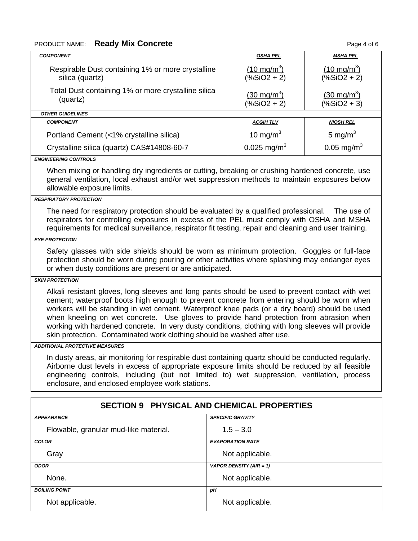## PRODUCT NAME: **Ready Mix Concrete Page 4 of 6 Page 4 of 6**

| <b>COMPONENT</b>                                                                                                                                                                                                                                                                                                                                                                                                                                                                                                                                                         |  | <b>OSHA PEL</b>                          | <b>MSHA PEL</b>                      |
|--------------------------------------------------------------------------------------------------------------------------------------------------------------------------------------------------------------------------------------------------------------------------------------------------------------------------------------------------------------------------------------------------------------------------------------------------------------------------------------------------------------------------------------------------------------------------|--|------------------------------------------|--------------------------------------|
| Respirable Dust containing 1% or more crystalline<br>silica (quartz)                                                                                                                                                                                                                                                                                                                                                                                                                                                                                                     |  | $(10 \text{ mg/m}^3)$<br>$(% 2 + 2)$     | $(10 \text{ mg/m}^3)$<br>$(% 2 + 2)$ |
| Total Dust containing 1% or more crystalline silica<br>(quartz)                                                                                                                                                                                                                                                                                                                                                                                                                                                                                                          |  | $(30 \text{ mg/m}^3)$<br>$(% ^{*}(x+2))$ | $(30 \text{ mg/m}^3)$<br>$(% 2 + 3)$ |
| <b>OTHER GUIDELINES</b>                                                                                                                                                                                                                                                                                                                                                                                                                                                                                                                                                  |  |                                          |                                      |
| <b>COMPONENT</b>                                                                                                                                                                                                                                                                                                                                                                                                                                                                                                                                                         |  | <b>ACGIHTLV</b>                          | <b>NIOSH REL</b>                     |
| Portland Cement (<1% crystalline silica)                                                                                                                                                                                                                                                                                                                                                                                                                                                                                                                                 |  | 10 mg/m $3$                              | 5 mg/m $3$                           |
| Crystalline silica (quartz) CAS#14808-60-7                                                                                                                                                                                                                                                                                                                                                                                                                                                                                                                               |  | 0.025 mg/m <sup>3</sup>                  | $0.05$ mg/m <sup>3</sup>             |
| <b>ENGINEERING CONTROLS</b>                                                                                                                                                                                                                                                                                                                                                                                                                                                                                                                                              |  |                                          |                                      |
| When mixing or handling dry ingredients or cutting, breaking or crushing hardened concrete, use<br>general ventilation, local exhaust and/or wet suppression methods to maintain exposures below<br>allowable exposure limits.                                                                                                                                                                                                                                                                                                                                           |  |                                          |                                      |
| <b>RESPIRATORY PROTECTION</b>                                                                                                                                                                                                                                                                                                                                                                                                                                                                                                                                            |  |                                          |                                      |
| The need for respiratory protection should be evaluated by a qualified professional.<br>The use of<br>respirators for controlling exposures in excess of the PEL must comply with OSHA and MSHA<br>requirements for medical surveillance, respirator fit testing, repair and cleaning and user training.                                                                                                                                                                                                                                                                 |  |                                          |                                      |
| <b>EYE PROTECTION</b>                                                                                                                                                                                                                                                                                                                                                                                                                                                                                                                                                    |  |                                          |                                      |
| Safety glasses with side shields should be worn as minimum protection. Goggles or full-face<br>protection should be worn during pouring or other activities where splashing may endanger eyes<br>or when dusty conditions are present or are anticipated.                                                                                                                                                                                                                                                                                                                |  |                                          |                                      |
| <b>SKIN PROTECTION</b>                                                                                                                                                                                                                                                                                                                                                                                                                                                                                                                                                   |  |                                          |                                      |
| Alkali resistant gloves, long sleeves and long pants should be used to prevent contact with wet<br>cement; waterproof boots high enough to prevent concrete from entering should be worn when<br>workers will be standing in wet cement. Waterproof knee pads (or a dry board) should be used<br>when kneeling on wet concrete. Use gloves to provide hand protection from abrasion when<br>working with hardened concrete. In very dusty conditions, clothing with long sleeves will provide<br>skin protection. Contaminated work clothing should be washed after use. |  |                                          |                                      |
| <b>ADDITIONAL PROTECTIVE MEASURES</b>                                                                                                                                                                                                                                                                                                                                                                                                                                                                                                                                    |  |                                          |                                      |
| In dusty areas, air monitoring for respirable dust containing quartz should be conducted regularly.<br>Airborne dust levels in excess of appropriate exposure limits should be reduced by all feasible<br>engineering controls, including (but not limited to) wet suppression, ventilation, process<br>enclosure, and enclosed employee work stations.                                                                                                                                                                                                                  |  |                                          |                                      |
| <b>SECTION 9 PHYSICAL AND CHEMICAL PROPERTIES</b>                                                                                                                                                                                                                                                                                                                                                                                                                                                                                                                        |  |                                          |                                      |
| <b>APPEARANCE</b>                                                                                                                                                                                                                                                                                                                                                                                                                                                                                                                                                        |  | <b>SPECIFIC GRAVITY</b>                  |                                      |
| Flowable, granular mud-like material.                                                                                                                                                                                                                                                                                                                                                                                                                                                                                                                                    |  | $1.5 - 3.0$                              |                                      |
| <b>COLOR</b>                                                                                                                                                                                                                                                                                                                                                                                                                                                                                                                                                             |  | <b>EVAPORATION RATE</b>                  |                                      |
| Gray                                                                                                                                                                                                                                                                                                                                                                                                                                                                                                                                                                     |  | Not applicable.                          |                                      |

*ODOR VAPOR DENSITY (AIR = 1)* 

None. None.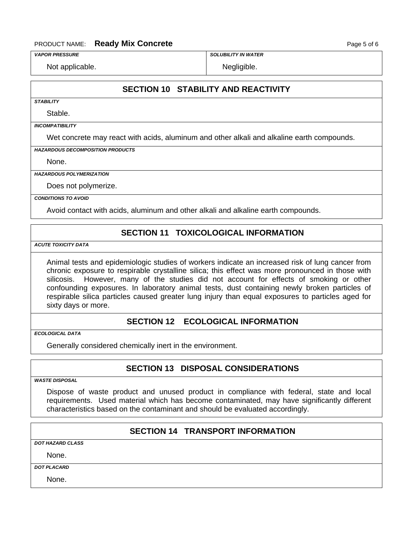#### PRODUCT NAME: **Ready Mix Concrete Page 5 of 6** Page 5 of 6

*VAPOR PRESSURE SOLUBILITY IN WATER* 

Not applicable. Not applicable.

### **SECTION 10 STABILITY AND REACTIVITY**

*STABILITY* 

Stable.

*INCOMPATIBILITY* 

Wet concrete may react with acids, aluminum and other alkali and alkaline earth compounds.

*HAZARDOUS DECOMPOSITION PRODUCTS* 

None.

*HAZARDOUS POLYMERIZATION* 

Does not polymerize.

*CONDITIONS TO AVOID* 

Avoid contact with acids, aluminum and other alkali and alkaline earth compounds.

### **SECTION 11 TOXICOLOGICAL INFORMATION**

*ACUTE TOXICITY DATA* 

Animal tests and epidemiologic studies of workers indicate an increased risk of lung cancer from chronic exposure to respirable crystalline silica; this effect was more pronounced in those with silicosis. However, many of the studies did not account for effects of smoking or other confounding exposures. In laboratory animal tests, dust containing newly broken particles of respirable silica particles caused greater lung injury than equal exposures to particles aged for sixty days or more.

### **SECTION 12 ECOLOGICAL INFORMATION**

*ECOLOGICAL DATA* 

Generally considered chemically inert in the environment.

### **SECTION 13 DISPOSAL CONSIDERATIONS**

*WASTE DISPOSAL* 

Dispose of waste product and unused product in compliance with federal, state and local requirements. Used material which has become contaminated, may have significantly different characteristics based on the contaminant and should be evaluated accordingly.

### **SECTION 14 TRANSPORT INFORMATION**

*DOT HAZARD CLASS*

None.

*DOT PLACARD* 

None.